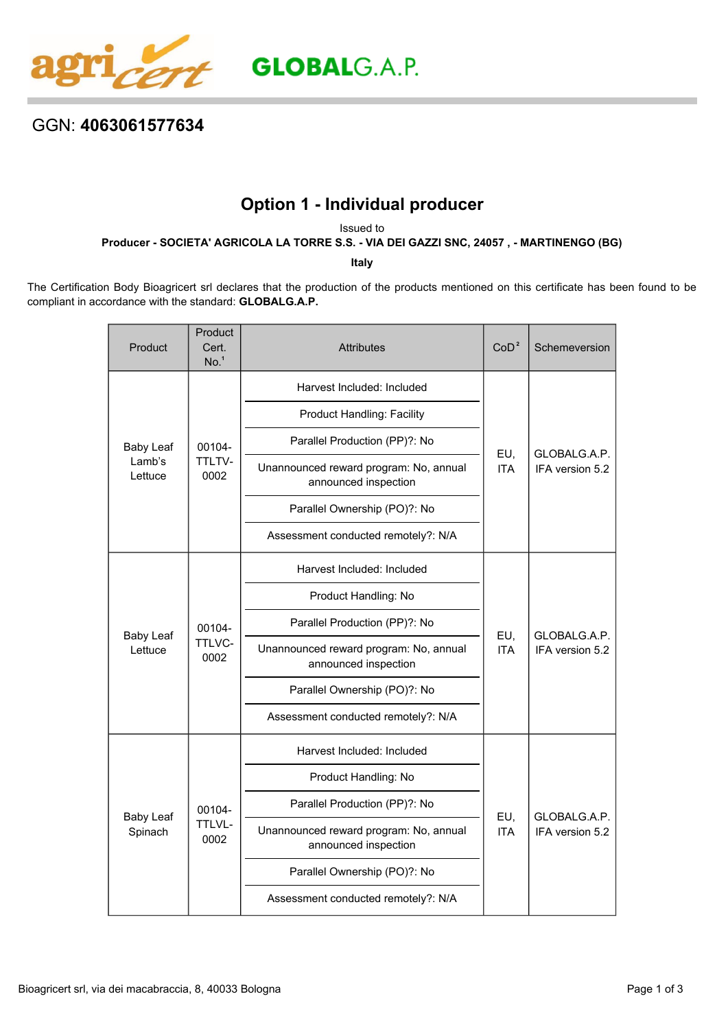

## GGN: **4063061577634**

## **Option 1 - Individual producer**

Issued to

**Producer - SOCIETA' AGRICOLA LA TORRE S.S. - VIA DEI GAZZI SNC, 24057 , - MARTINENGO (BG)**

**Italy**

The Certification Body Bioagricert srl declares that the production of the products mentioned on this certificate has been found to be compliant in accordance with the standard: **GLOBALG.A.P.**

| Product                               | Product<br>Cert.<br>No. <sup>1</sup> | <b>Attributes</b>                                              | CoD <sup>2</sup>  | Schemeversion                   |
|---------------------------------------|--------------------------------------|----------------------------------------------------------------|-------------------|---------------------------------|
| <b>Baby Leaf</b><br>Lamb's<br>Lettuce | 00104-<br>TTLTV-<br>0002             | Harvest Included: Included                                     | EU,<br><b>ITA</b> | GLOBALG.A.P.<br>IFA version 5.2 |
|                                       |                                      | <b>Product Handling: Facility</b>                              |                   |                                 |
|                                       |                                      | Parallel Production (PP)?: No                                  |                   |                                 |
|                                       |                                      | Unannounced reward program: No, annual<br>announced inspection |                   |                                 |
|                                       |                                      | Parallel Ownership (PO)?: No                                   |                   |                                 |
|                                       |                                      | Assessment conducted remotely?: N/A                            |                   |                                 |
| <b>Baby Leaf</b><br>Lettuce           | 00104-<br>TTLVC-<br>0002             | Harvest Included: Included                                     | EU,<br><b>ITA</b> | GLOBALG.A.P.<br>IFA version 5.2 |
|                                       |                                      | Product Handling: No                                           |                   |                                 |
|                                       |                                      | Parallel Production (PP)?: No                                  |                   |                                 |
|                                       |                                      | Unannounced reward program: No, annual<br>announced inspection |                   |                                 |
|                                       |                                      | Parallel Ownership (PO)?: No                                   |                   |                                 |
|                                       |                                      | Assessment conducted remotely?: N/A                            |                   |                                 |
| <b>Baby Leaf</b><br>Spinach           | 00104-<br>TTLVL-<br>0002             | Harvest Included: Included                                     | EU,<br><b>ITA</b> | GLOBALG.A.P.<br>IFA version 5.2 |
|                                       |                                      | Product Handling: No                                           |                   |                                 |
|                                       |                                      | Parallel Production (PP)?: No                                  |                   |                                 |
|                                       |                                      | Unannounced reward program: No, annual<br>announced inspection |                   |                                 |
|                                       |                                      | Parallel Ownership (PO)?: No                                   |                   |                                 |
|                                       |                                      | Assessment conducted remotely?: N/A                            |                   |                                 |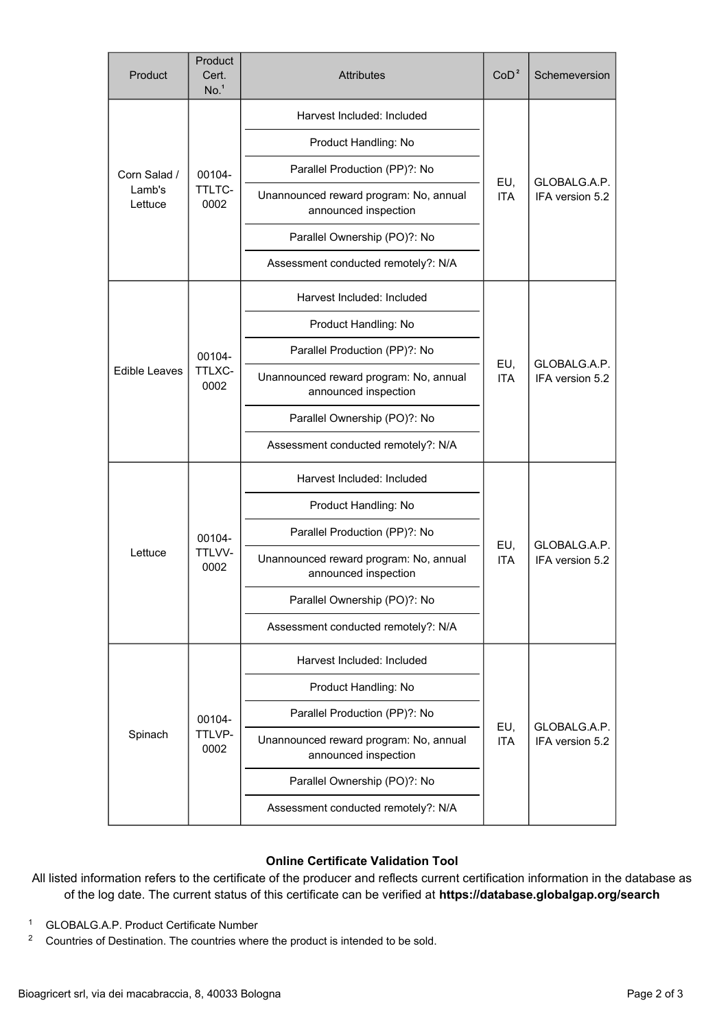| Product                           | Product<br>Cert.<br>No. <sup>1</sup> | <b>Attributes</b>                                              | CoD <sup>2</sup>  | Schemeversion                   |
|-----------------------------------|--------------------------------------|----------------------------------------------------------------|-------------------|---------------------------------|
| Corn Salad /<br>Lamb's<br>Lettuce | 00104-<br>TTLTC-<br>0002             | Harvest Included: Included                                     | EU,<br><b>ITA</b> | GLOBALG.A.P.<br>IFA version 5.2 |
|                                   |                                      | Product Handling: No                                           |                   |                                 |
|                                   |                                      | Parallel Production (PP)?: No                                  |                   |                                 |
|                                   |                                      | Unannounced reward program: No, annual<br>announced inspection |                   |                                 |
|                                   |                                      | Parallel Ownership (PO)?: No                                   |                   |                                 |
|                                   |                                      | Assessment conducted remotely?: N/A                            |                   |                                 |
| <b>Edible Leaves</b>              | 00104-<br>TTLXC-<br>0002             | Harvest Included: Included                                     | EU,<br><b>ITA</b> | GLOBALG.A.P.<br>IFA version 5.2 |
|                                   |                                      | Product Handling: No                                           |                   |                                 |
|                                   |                                      | Parallel Production (PP)?: No                                  |                   |                                 |
|                                   |                                      | Unannounced reward program: No, annual<br>announced inspection |                   |                                 |
|                                   |                                      | Parallel Ownership (PO)?: No                                   |                   |                                 |
|                                   |                                      | Assessment conducted remotely?: N/A                            |                   |                                 |
| Lettuce                           | 00104-<br>TTLVV-<br>0002             | Harvest Included: Included                                     | EU,<br><b>ITA</b> | GLOBALG.A.P.<br>IFA version 5.2 |
|                                   |                                      | Product Handling: No                                           |                   |                                 |
|                                   |                                      | Parallel Production (PP)?: No                                  |                   |                                 |
|                                   |                                      | Unannounced reward program: No, annual<br>announced inspection |                   |                                 |
|                                   |                                      | Parallel Ownership (PO)?: No                                   |                   |                                 |
|                                   |                                      | Assessment conducted remotely?: N/A                            |                   |                                 |
| Spinach                           | 00104-<br>TTLVP-<br>0002             | Harvest Included: Included                                     | EU,<br><b>ITA</b> | GLOBALG.A.P.<br>IFA version 5.2 |
|                                   |                                      | Product Handling: No                                           |                   |                                 |
|                                   |                                      | Parallel Production (PP)?: No                                  |                   |                                 |
|                                   |                                      | Unannounced reward program: No, annual<br>announced inspection |                   |                                 |
|                                   |                                      | Parallel Ownership (PO)?: No                                   |                   |                                 |
|                                   |                                      | Assessment conducted remotely?: N/A                            |                   |                                 |

## **Online Certificate Validation Tool**

All listed information refers to the certificate of the producer and reflects current certification information in the database as of the log date. The current status of this certificate can be verified at **[https://database.globalgap.org/search](https://database.globalgap.org/globalgap/search/SearchMain.faces)**

- <sup>1</sup> GLOBALG.A.P. Product Certificate Number
- <sup>2</sup> Countries of Destination. The countries where the product is intended to be sold.